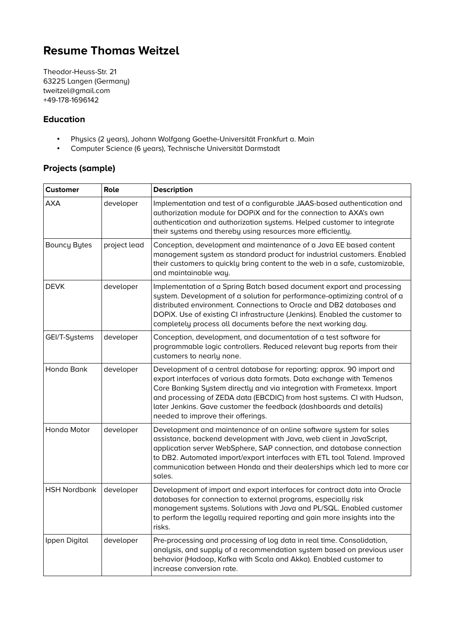# **Resume Thomas Weitzel**

Theodor-Heuss-Str. 21 63225 Langen (Germany) tweitzel@gmail.com +49-178-1696142

## **Education**

- Physics (2 years), Johann Wolfgang Goethe-Universität Frankfurt a. Main<br>• Computer Science (6 years), Technische Universität Darmstadt
- Computer Science (6 years), Technische Universität Darmstadt

# **Projects (sample)**

| <b>Customer</b>     | Role         | <b>Description</b>                                                                                                                                                                                                                                                                                                                                                                                                |
|---------------------|--------------|-------------------------------------------------------------------------------------------------------------------------------------------------------------------------------------------------------------------------------------------------------------------------------------------------------------------------------------------------------------------------------------------------------------------|
| AXA                 | developer    | Implementation and test of a configurable JAAS-based authentication and<br>quthorization module for DOPiX and for the connection to AXA's own<br>authentication and authorization systems. Helped customer to integrate<br>their systems and thereby using resources more efficiently.                                                                                                                            |
| <b>Bouncy Bytes</b> | project lead | Conception, development and maintenance of a Java EE based content<br>management system as standard product for industrial customers. Enabled<br>their customers to quickly bring content to the web in a safe, customizable,<br>and maintainable way.                                                                                                                                                            |
| <b>DEVK</b>         | developer    | Implementation of a Spring Batch based document export and processing<br>system. Development of a solution for performance-optimizing control of a<br>distributed environment. Connections to Oracle and DB2 databases and<br>DOPIX. Use of existing CI infrastructure (Jenkins). Enabled the customer to<br>completely process all documents before the next working day.                                        |
| GEI/T-Systems       | developer    | Conception, development, and documentation of a test software for<br>programmable logic controllers. Reduced relevant bug reports from their<br>customers to nearly none.                                                                                                                                                                                                                                         |
| Honda Bank          | developer    | Development of a central database for reporting: approx. 90 import and<br>export interfaces of various data formats. Data exchange with Temenos<br>Core Banking System directly and via integration with Frametexx. Import<br>and processing of ZEDA data (EBCDIC) from host systems. CI with Hudson,<br>later Jenkins. Gave customer the feedback (dashboards and details)<br>needed to improve their offerings. |
| Honda Motor         | developer    | Development and maintenance of an online software system for sales<br>assistance, backend development with Java, web client in JavaScript,<br>application server WebSphere, SAP connection, and database connection<br>to DB2. Automated import/export interfaces with ETL tool Talend. Improved<br>communication between Honda and their dealerships which led to more car<br>sales.                             |
| <b>HSH Nordbank</b> | developer    | Development of import and export interfaces for contract data into Oracle<br>databases for connection to external programs, especially risk<br>management systems. Solutions with Java and PL/SQL. Enabled customer<br>to perform the legally required reporting and gain more insights into the<br>risks.                                                                                                        |
| Ippen Digital       | developer    | Pre-processing and processing of log data in real time. Consolidation,<br>analysis, and supply of a recommendation system based on previous user<br>behavior (Hadoop, Kafka with Scala and Akka). Enabled customer to<br>increase conversion rate.                                                                                                                                                                |